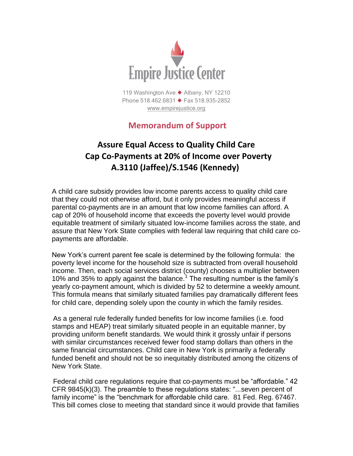

119 Washington Ave.◆ Albany, NY 12210 Phone 518.462.6831 ♦ Fax 518.935-2852 [www.empirejustice.org](http://www.empirejustice.org/)

## **Memorandum of Support**

## **Assure Equal Access to Quality Child Care Cap Co-Payments at 20% of Income over Poverty A.3110 (Jaffee)/S.1546 (Kennedy)**

A child care subsidy provides low income parents access to quality child care that they could not otherwise afford, but it only provides meaningful access if parental co-payments are in an amount that low income families can afford. A cap of 20% of household income that exceeds the poverty level would provide equitable treatment of similarly situated low-income families across the state, and assure that New York State complies with federal law requiring that child care copayments are affordable.

New York's current parent fee scale is determined by the following formula: the poverty level income for the household size is subtracted from overall household income. Then, each social services district (county) chooses a multiplier between 10% and 35% to apply against the balance.<sup>1</sup> The resulting number is the family's yearly co-payment amount, which is divided by 52 to determine a weekly amount. This formula means that similarly situated families pay dramatically different fees for child care, depending solely upon the county in which the family resides.

 As a general rule federally funded benefits for low income families (i.e. food stamps and HEAP) treat similarly situated people in an equitable manner, by providing uniform benefit standards. We would think it grossly unfair if persons with similar circumstances received fewer food stamp dollars than others in the same financial circumstances. Child care in New York is primarily a federally funded benefit and should not be so inequitably distributed among the citizens of New York State.

Federal child care regulations require that co-payments must be "affordable." 42 CFR 9845(k)(3). The preamble to these regulations states: "...seven percent of family income" is the "benchmark for affordable child care. 81 Fed. Reg. 67467. This bill comes close to meeting that standard since it would provide that families